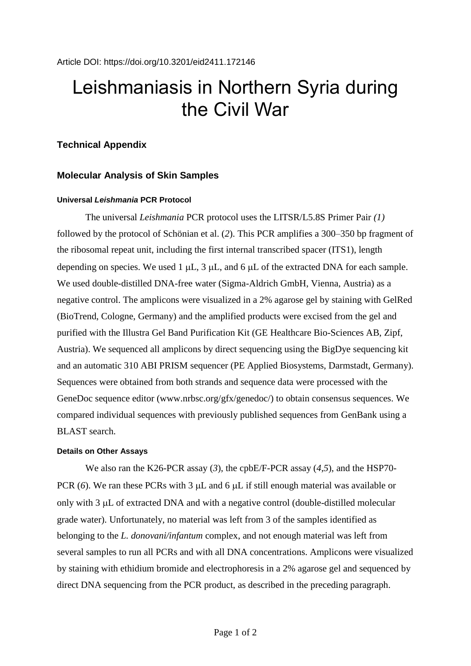# Leishmaniasis in Northern Syria during the Civil War

# **Technical Appendix**

# **Molecular Analysis of Skin Samples**

## **Universal** *Leishmania* **PCR Protocol**

The universal *Leishmania* PCR protocol uses the LITSR/L5.8S Primer Pair *(1)* followed by the protocol of Schönian et al. (*2*). This PCR amplifies a 300–350 bp fragment of the ribosomal repeat unit, including the first internal transcribed spacer (ITS1), length depending on species. We used 1  $\mu$ L, 3  $\mu$ L, and 6  $\mu$ L of the extracted DNA for each sample. We used double-distilled DNA-free water (Sigma-Aldrich GmbH, Vienna, Austria) as a negative control. The amplicons were visualized in a 2% agarose gel by staining with GelRed (BioTrend, Cologne, Germany) and the amplified products were excised from the gel and purified with the Illustra Gel Band Purification Kit (GE Healthcare Bio-Sciences AB, Zipf, Austria). We sequenced all amplicons by direct sequencing using the BigDye sequencing kit and an automatic 310 ABI PRISM sequencer (PE Applied Biosystems, Darmstadt, Germany). Sequences were obtained from both strands and sequence data were processed with the GeneDoc sequence editor (www.nrbsc.org/gfx/genedoc/) to obtain consensus sequences. We compared individual sequences with previously published sequences from GenBank using a BLAST search.

### **Details on Other Assays**

We also ran the K26-PCR assay (*3*)*,* the cpbE/F-PCR assay (*4*,*5*), and the HSP70- PCR  $(6)$ . We ran these PCRs with 3  $\mu$ L and 6  $\mu$ L if still enough material was available or only with  $3 \mu L$  of extracted DNA and with a negative control (double-distilled molecular grade water). Unfortunately, no material was left from 3 of the samples identified as belonging to the *L. donovani/infantum* complex, and not enough material was left from several samples to run all PCRs and with all DNA concentrations. Amplicons were visualized by staining with ethidium bromide and electrophoresis in a 2% agarose gel and sequenced by direct DNA sequencing from the PCR product, as described in the preceding paragraph.